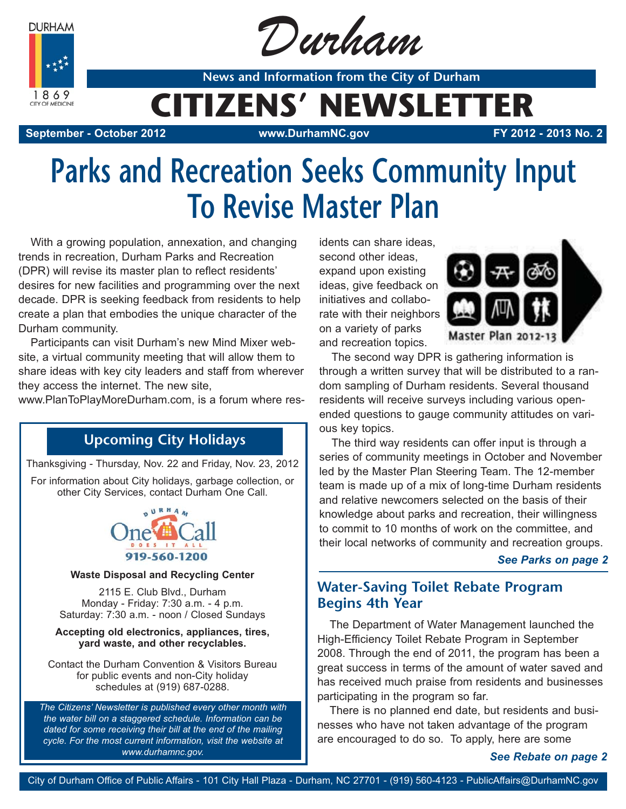**DURHAM** 



Durham

**News and Information from the City of Durham**

## **CITIZENS' NEWSLETTER**

**September - October 2012 www.DurhamNC.gov FY 2012 - 2013 No. 2**

# **Parks and Recreation Seeks Community Input To Revise Master Plan**

With a growing population, annexation, and changing trends in recreation, Durham Parks and Recreation (DPR) will revise its master plan to reflect residents' desires for new facilities and programming over the next decade. DPR is seeking feedback from residents to help create a plan that embodies the unique character of the Durham community.

Participants can visit Durham's new Mind Mixer website, a virtual community meeting that will allow them to share ideas with key city leaders and staff from wherever they access the internet. The new site,

www.PlanToPlayMoreDurham.com, is a forum where res-

### **Upcoming City Holidays**

Thanksgiving - Thursday, Nov. 22 and Friday, Nov. 23, 2012

For information about City holidays, garbage collection, or other City Services, contact Durham One Call.



#### **Waste Disposal and Recycling Center**

2115 E. Club Blvd., Durham Monday - Friday: 7:30 a.m. - 4 p.m. Saturday: 7:30 a.m. - noon / Closed Sundays

#### **Accepting old electronics, appliances, tires, yard waste, and other recyclables.**

Contact the Durham Convention & Visitors Bureau for public events and non-City holiday schedules at (919) 687-0288.

*The Citizens' Newsletter is published every other month with the water bill on a staggered schedule. Information can be dated for some receiving their bill at the end of the mailing cycle. For the most current information, visit the website at www.durhamnc.gov.*

idents can share ideas, second other ideas, expand upon existing ideas, give feedback on initiatives and collaborate with their neighbors on a variety of parks and recreation topics.



The second way DPR is gathering information is through a written survey that will be distributed to a random sampling of Durham residents. Several thousand residents will receive surveys including various openended questions to gauge community attitudes on various key topics.

The third way residents can offer input is through a series of community meetings in October and November led by the Master Plan Steering Team. The 12-member team is made up of a mix of long-time Durham residents and relative newcomers selected on the basis of their knowledge about parks and recreation, their willingness to commit to 10 months of work on the committee, and their local networks of community and recreation groups.

#### *See Parks on page 2*

### **Water-Saving Toilet Rebate Program Begins 4th Year**

The Department of Water Management launched the High-Efficiency Toilet Rebate Program in September 2008. Through the end of 2011, the program has been a great success in terms of the amount of water saved and has received much praise from residents and businesses participating in the program so far.

There is no planned end date, but residents and businesses who have not taken advantage of the program are encouraged to do so. To apply, here are some

*See Rebate on page 2*